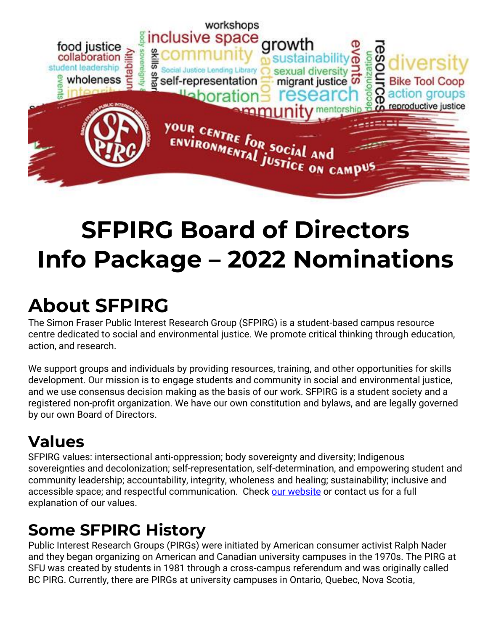

# **SFPIRG Board of Directors Info Package – 2022 Nominations**

# **About SFPIRG**

The Simon Fraser Public Interest Research Group (SFPIRG) is a student-based campus resource centre dedicated to social and environmental justice. We promote critical thinking through education, action, and research.

We support groups and individuals by providing resources, training, and other opportunities for skills development. Our mission is to engage students and community in social and environmental justice, and we use consensus decision making as the basis of our work. SFPIRG is a student society and a registered non-profit organization. We have our own constitution and bylaws, and are legally governed by our own Board of Directors.

### **Values**

SFPIRG values: intersectional anti-oppression; body sovereignty and diversity; Indigenous sovereignties and decolonization; self-representation, self-determination, and empowering student and community leadership; accountability, integrity, wholeness and healing; sustainability; inclusive and accessible space; and respectful communication. Check [our website](https://sfpirg.ca/values/) or contact us for a full explanation of our values.

## **Some SFPIRG History**

Public Interest Research Groups (PIRGs) were initiated by American consumer activist Ralph Nader and they began organizing on American and Canadian university campuses in the 1970s. The PIRG at SFU was created by students in 1981 through a cross-campus referendum and was originally called BC PIRG. Currently, there are PIRGs at university campuses in Ontario, Quebec, Nova Scotia,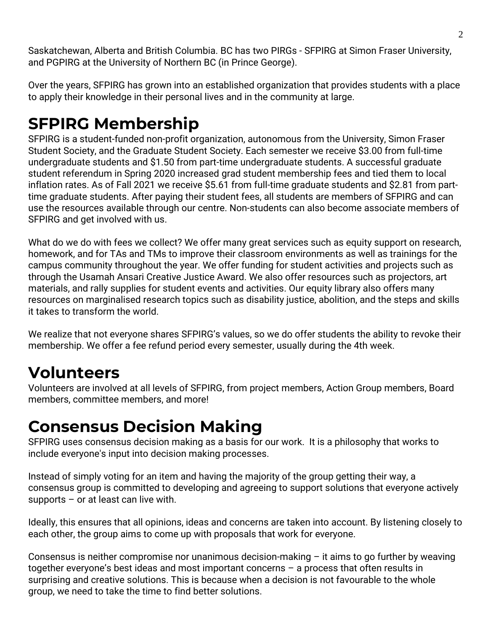Saskatchewan, Alberta and British Columbia. BC has two PIRGs - SFPIRG at Simon Fraser University, and PGPIRG at the University of Northern BC (in Prince George).

Over the years, SFPIRG has grown into an established organization that provides students with a place to apply their knowledge in their personal lives and in the community at large.

## **SFPIRG Membership**

SFPIRG is a student-funded non-profit organization, autonomous from the University, Simon Fraser Student Society, and the Graduate Student Society. Each semester we receive \$3.00 from full-time undergraduate students and \$1.50 from part-time undergraduate students. A successful graduate student referendum in Spring 2020 increased grad student membership fees and tied them to local inflation rates. As of Fall 2021 we receive \$5.61 from full-time graduate students and \$2.81 from parttime graduate students. After paying their student fees, all students are members of SFPIRG and can use the resources available through our centre. Non-students can also become associate members of SFPIRG and get involved with us.

What do we do with fees we collect? We offer many great services such as equity support on research, homework, and for TAs and TMs to improve their classroom environments as well as trainings for the campus community throughout the year. We offer funding for student activities and projects such as through the Usamah Ansari Creative Justice Award. We also offer resources such as projectors, art materials, and rally supplies for student events and activities. Our equity library also offers many resources on marginalised research topics such as disability justice, abolition, and the steps and skills it takes to transform the world.

We realize that not everyone shares SFPIRG's values, so we do offer students the ability to revoke their membership. We offer a fee refund period every semester, usually during the 4th week.

#### **Volunteers**

Volunteers are involved at all levels of SFPIRG, from project members, Action Group members, Board members, committee members, and more!

#### **Consensus Decision Making**

SFPIRG uses consensus decision making as a basis for our work. It is a philosophy that works to include everyone's input into decision making processes.

Instead of simply voting for an item and having the majority of the group getting their way, a consensus group is committed to developing and agreeing to support solutions that everyone actively supports – or at least can live with.

Ideally, this ensures that all opinions, ideas and concerns are taken into account. By listening closely to each other, the group aims to come up with proposals that work for everyone.

Consensus is neither compromise nor unanimous decision-making – it aims to go further by weaving together everyone's best ideas and most important concerns – a process that often results in surprising and creative solutions. This is because when a decision is not favourable to the whole group, we need to take the time to find better solutions.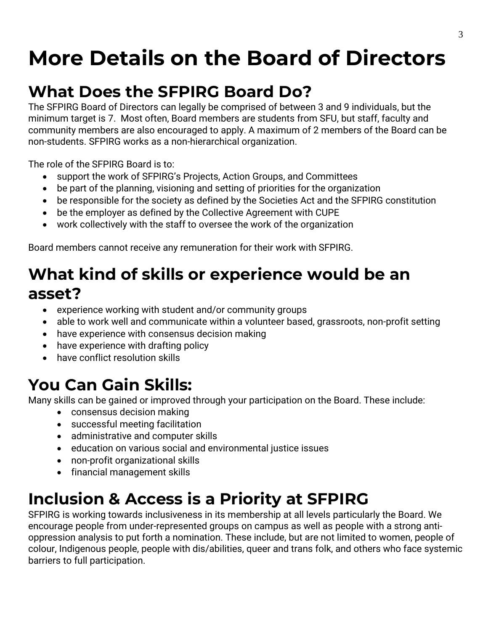# **More Details on the Board of Directors**

#### **What Does the SFPIRG Board Do?**

The SFPIRG Board of Directors can legally be comprised of between 3 and 9 individuals, but the minimum target is 7. Most often, Board members are students from SFU, but staff, faculty and community members are also encouraged to apply. A maximum of 2 members of the Board can be non-students. SFPIRG works as a non-hierarchical organization.

The role of the SFPIRG Board is to:

- support the work of SFPIRG's Projects, Action Groups, and Committees
- be part of the planning, visioning and setting of priorities for the organization
- be responsible for the society as defined by the Societies Act and the SFPIRG constitution
- be the employer as defined by the Collective Agreement with CUPE
- work collectively with the staff to oversee the work of the organization

Board members cannot receive any remuneration for their work with SFPIRG.

### **What kind of skills or experience would be an asset?**

- experience working with student and/or community groups
- able to work well and communicate within a volunteer based, grassroots, non-profit setting
- have experience with consensus decision making
- have experience with drafting policy
- have conflict resolution skills

## **You Can Gain Skills:**

Many skills can be gained or improved through your participation on the Board. These include:

- consensus decision making
- successful meeting facilitation
- administrative and computer skills
- education on various social and environmental justice issues
- non-profit organizational skills
- financial management skills

## **Inclusion & Access is a Priority at SFPIRG**

SFPIRG is working towards inclusiveness in its membership at all levels particularly the Board. We encourage people from under-represented groups on campus as well as people with a strong antioppression analysis to put forth a nomination. These include, but are not limited to women, people of colour, Indigenous people, people with dis/abilities, queer and trans folk, and others who face systemic barriers to full participation.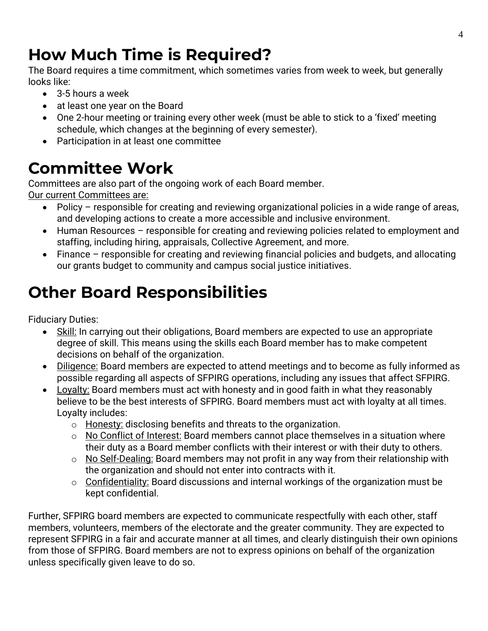## **How Much Time is Required?**

The Board requires a time commitment, which sometimes varies from week to week, but generally looks like:

- 3-5 hours a week
- at least one year on the Board
- One 2-hour meeting or training every other week (must be able to stick to a 'fixed' meeting schedule, which changes at the beginning of every semester).
- Participation in at least one committee

## **Committee Work**

Committees are also part of the ongoing work of each Board member.

Our current Committees are:

- Policy responsible for creating and reviewing organizational policies in a wide range of areas, and developing actions to create a more accessible and inclusive environment.
- Human Resources responsible for creating and reviewing policies related to employment and staffing, including hiring, appraisals, Collective Agreement, and more.
- Finance responsible for creating and reviewing financial policies and budgets, and allocating our grants budget to community and campus social justice initiatives.

## **Other Board Responsibilities**

Fiduciary Duties:

- Skill: In carrying out their obligations, Board members are expected to use an appropriate degree of skill. This means using the skills each Board member has to make competent decisions on behalf of the organization.
- Diligence: Board members are expected to attend meetings and to become as fully informed as possible regarding all aspects of SFPIRG operations, including any issues that affect SFPIRG.
- Loyalty: Board members must act with honesty and in good faith in what they reasonably believe to be the best interests of SFPIRG. Board members must act with loyalty at all times. Loyalty includes:
	- o Honesty: disclosing benefits and threats to the organization.
	- o No Conflict of Interest: Board members cannot place themselves in a situation where their duty as a Board member conflicts with their interest or with their duty to others.
	- $\circ$  No Self-Dealing: Board members may not profit in any way from their relationship with the organization and should not enter into contracts with it.
	- $\circ$  Confidentiality: Board discussions and internal workings of the organization must be kept confidential.

Further, SFPIRG board members are expected to communicate respectfully with each other, staff members, volunteers, members of the electorate and the greater community. They are expected to represent SFPIRG in a fair and accurate manner at all times, and clearly distinguish their own opinions from those of SFPIRG. Board members are not to express opinions on behalf of the organization unless specifically given leave to do so.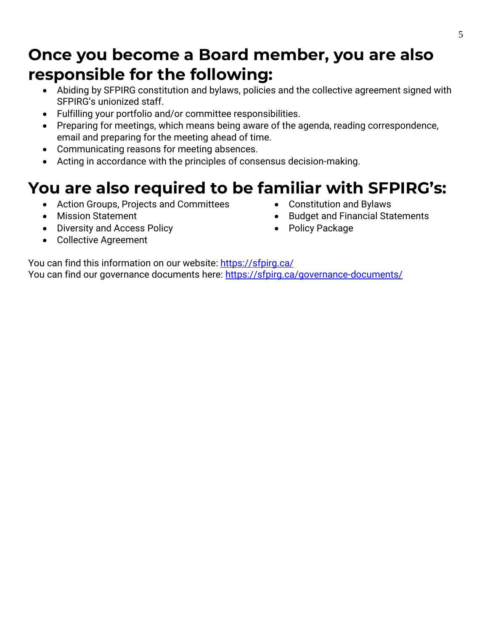#### **Once you become a Board member, you are also responsible for the following:**

- Abiding by SFPIRG constitution and bylaws, policies and the collective agreement signed with SFPIRG's unionized staff.
- Fulfilling your portfolio and/or committee responsibilities.
- Preparing for meetings, which means being aware of the agenda, reading correspondence, email and preparing for the meeting ahead of time.
- Communicating reasons for meeting absences.
- Acting in accordance with the principles of consensus decision-making.

### **You are also required to be familiar with SFPIRG's:**

- Action Groups, Projects and Committees
- Mission Statement
- Diversity and Access Policy
- Constitution and Bylaws
- Budget and Financial Statements
- Policy Package

• Collective Agreement

You can find this information on our website: <https://sfpirg.ca/> You can find our governance documents here:<https://sfpirg.ca/governance-documents/>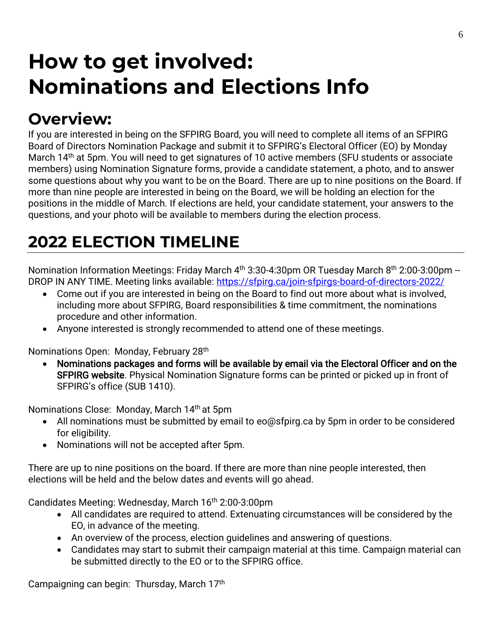# **How to get involved: Nominations and Elections Info**

## **Overview:**

If you are interested in being on the SFPIRG Board, you will need to complete all items of an SFPIRG Board of Directors Nomination Package and submit it to SFPIRG's Electoral Officer (EO) by Monday March 14<sup>th</sup> at 5pm. You will need to get signatures of 10 active members (SFU students or associate members) using Nomination Signature forms, provide a candidate statement, a photo, and to answer some questions about why you want to be on the Board. There are up to nine positions on the Board. If more than nine people are interested in being on the Board, we will be holding an election for the positions in the middle of March. If elections are held, your candidate statement, your answers to the questions, and your photo will be available to members during the election process.

## **2022 ELECTION TIMELINE**

Nomination Information Meetings: Friday March 4<sup>th</sup> 3:30-4:30pm OR Tuesday March 8<sup>th</sup> 2:00-3:00pm --DROP IN ANY TIME. Meeting links available:<https://sfpirg.ca/join-sfpirgs-board-of-directors-2022/>

- Come out if you are interested in being on the Board to find out more about what is involved, including more about SFPIRG, Board responsibilities & time commitment, the nominations procedure and other information.
- Anyone interested is strongly recommended to attend one of these meetings.

Nominations Open: Monday, February 28<sup>th</sup>

• Nominations packages and forms will be available by email via the Electoral Officer and on the SFPIRG website. Physical Nomination Signature forms can be printed or picked up in front of SFPIRG's office (SUB 1410).

Nominations Close: Monday, March 14th at 5pm

- All nominations must be submitted by email to eo@sfpirg.ca by 5pm in order to be considered for eligibility.
- Nominations will not be accepted after 5pm.

There are up to nine positions on the board. If there are more than nine people interested, then elections will be held and the below dates and events will go ahead.

Candidates Meeting: Wednesday, March 16<sup>th</sup> 2:00-3:00pm

- All candidates are required to attend. Extenuating circumstances will be considered by the EO, in advance of the meeting.
- An overview of the process, election guidelines and answering of questions.
- Candidates may start to submit their campaign material at this time. Campaign material can be submitted directly to the EO or to the SFPIRG office.

Campaigning can begin: Thursday, March 17<sup>th</sup>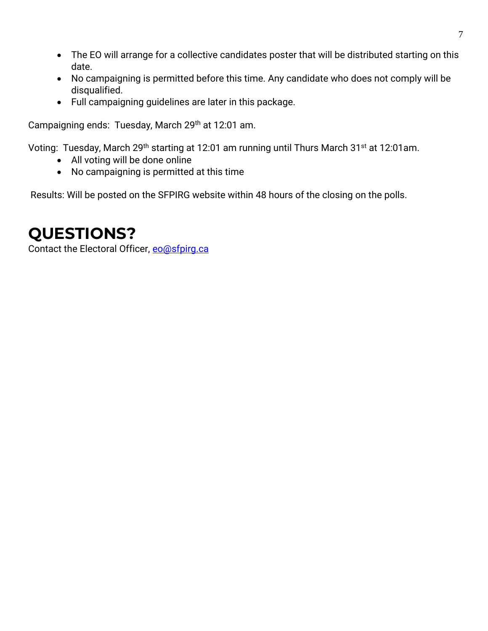- The EO will arrange for a collective candidates poster that will be distributed starting on this date.
- No campaigning is permitted before this time. Any candidate who does not comply will be disqualified.
- Full campaigning guidelines are later in this package.

Campaigning ends: Tuesday, March 29<sup>th</sup> at 12:01 am.

Voting: Tuesday, March 29<sup>th</sup> starting at 12:01 am running until Thurs March 31<sup>st</sup> at 12:01am.

- All voting will be done online
- No campaigning is permitted at this time

Results: Will be posted on the SFPIRG website within 48 hours of the closing on the polls.

#### **QUESTIONS?**

Contact the Electoral Officer, [eo@sfpirg.ca](mailto:eo@sfpirg.ca)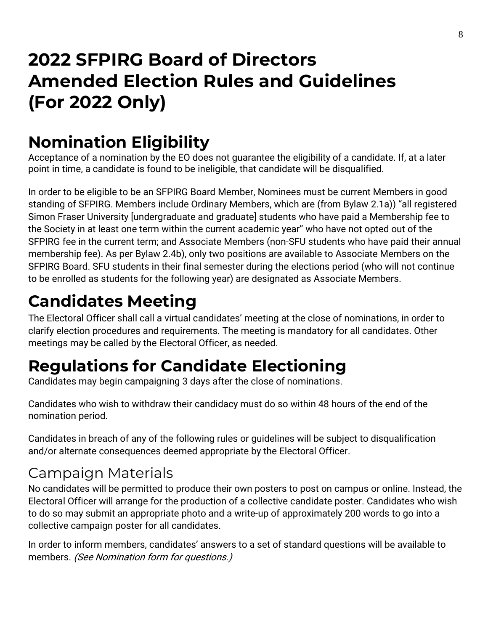# **2022 SFPIRG Board of Directors Amended Election Rules and Guidelines (For 2022 Only)**

## **Nomination Eligibility**

Acceptance of a nomination by the EO does not guarantee the eligibility of a candidate. If, at a later point in time, a candidate is found to be ineligible, that candidate will be disqualified.

In order to be eligible to be an SFPIRG Board Member, Nominees must be current Members in good standing of SFPIRG. Members include Ordinary Members, which are (from Bylaw 2.1a)) "all registered Simon Fraser University [undergraduate and graduate] students who have paid a Membership fee to the Society in at least one term within the current academic year" who have not opted out of the SFPIRG fee in the current term; and Associate Members (non-SFU students who have paid their annual membership fee). As per Bylaw 2.4b), only two positions are available to Associate Members on the SFPIRG Board. SFU students in their final semester during the elections period (who will not continue to be enrolled as students for the following year) are designated as Associate Members.

## **Candidates Meeting**

The Electoral Officer shall call a virtual candidates' meeting at the close of nominations, in order to clarify election procedures and requirements. The meeting is mandatory for all candidates. Other meetings may be called by the Electoral Officer, as needed.

## **Regulations for Candidate Electioning**

Candidates may begin campaigning 3 days after the close of nominations.

Candidates who wish to withdraw their candidacy must do so within 48 hours of the end of the nomination period.

Candidates in breach of any of the following rules or guidelines will be subject to disqualification and/or alternate consequences deemed appropriate by the Electoral Officer.

#### Campaign Materials

No candidates will be permitted to produce their own posters to post on campus or online. Instead, the Electoral Officer will arrange for the production of a collective candidate poster. Candidates who wish to do so may submit an appropriate photo and a write-up of approximately 200 words to go into a collective campaign poster for all candidates.

In order to inform members, candidates' answers to a set of standard questions will be available to members. (See Nomination form for questions.)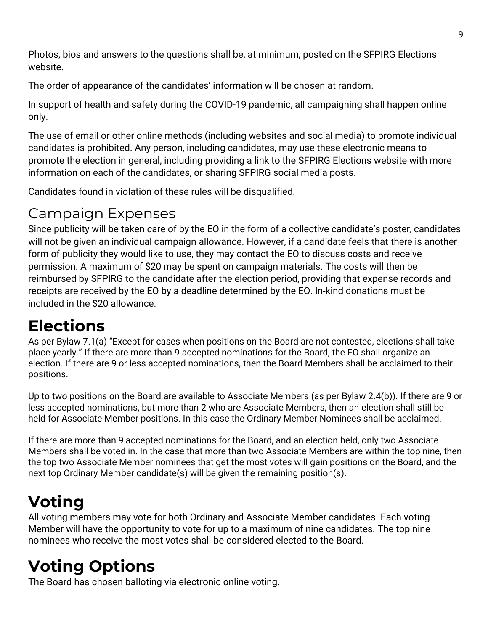Photos, bios and answers to the questions shall be, at minimum, posted on the SFPIRG Elections website.

The order of appearance of the candidates' information will be chosen at random.

In support of health and safety during the COVID-19 pandemic, all campaigning shall happen online only.

The use of email or other online methods (including websites and social media) to promote individual candidates is prohibited. Any person, including candidates, may use these electronic means to promote the election in general, including providing a link to the SFPIRG Elections website with more information on each of the candidates, or sharing SFPIRG social media posts.

Candidates found in violation of these rules will be disqualified.

#### Campaign Expenses

Since publicity will be taken care of by the EO in the form of a collective candidate's poster, candidates will not be given an individual campaign allowance. However, if a candidate feels that there is another form of publicity they would like to use, they may contact the EO to discuss costs and receive permission. A maximum of \$20 may be spent on campaign materials. The costs will then be reimbursed by SFPIRG to the candidate after the election period, providing that expense records and receipts are received by the EO by a deadline determined by the EO. In-kind donations must be included in the \$20 allowance.

## **Elections**

As per Bylaw 7.1(a) "Except for cases when positions on the Board are not contested, elections shall take place yearly." If there are more than 9 accepted nominations for the Board, the EO shall organize an election. If there are 9 or less accepted nominations, then the Board Members shall be acclaimed to their positions.

Up to two positions on the Board are available to Associate Members (as per Bylaw 2.4(b)). If there are 9 or less accepted nominations, but more than 2 who are Associate Members, then an election shall still be held for Associate Member positions. In this case the Ordinary Member Nominees shall be acclaimed.

If there are more than 9 accepted nominations for the Board, and an election held, only two Associate Members shall be voted in. In the case that more than two Associate Members are within the top nine, then the top two Associate Member nominees that get the most votes will gain positions on the Board, and the next top Ordinary Member candidate(s) will be given the remaining position(s).

# **Voting**

All voting members may vote for both Ordinary and Associate Member candidates. Each voting Member will have the opportunity to vote for up to a maximum of nine candidates. The top nine nominees who receive the most votes shall be considered elected to the Board.

## **Voting Options**

The Board has chosen balloting via electronic online voting.